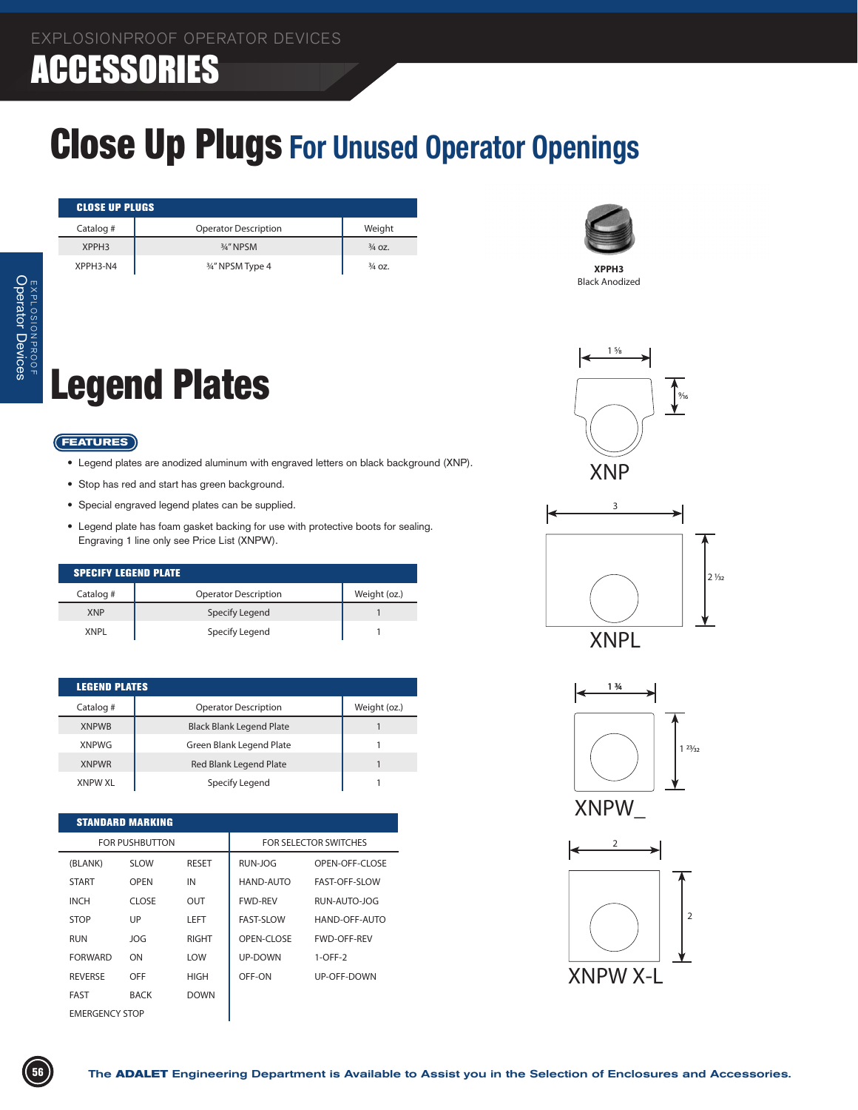### ACCESSORIES

### Close Up Plugs **For Unused Operator Openings**

| <b>CLOSE UP PLUGS</b> |                             |                   |  |
|-----------------------|-----------------------------|-------------------|--|
| Catalog #             | <b>Operator Description</b> | Weight            |  |
| XPPH <sub>3</sub>     | 3/4" NPSM                   | $\frac{3}{4}$ OZ. |  |
| XPPH3-N4              | 3/4" NPSM Type 4            | $\frac{3}{4}$ OZ. |  |

## Legend Plates

#### **FEATURES**

- Legend plates are anodized aluminum with engraved letters on black background (XNP).
- • Stop has red and start has green background.
- • Special engraved legend plates can be supplied.
- • Legend plate has foam gasket backing for use with protective boots for sealing. Engraving 1 line only see Price List (XNPW).

| <b>SPECIFY LEGEND PLATE</b> |                             |              |  |
|-----------------------------|-----------------------------|--------------|--|
| Catalog #                   | <b>Operator Description</b> | Weight (oz.) |  |
| <b>XNP</b>                  | Specify Legend              |              |  |
| <b>XNPI</b>                 | Specify Legend              |              |  |

| <b>LEGEND PLATES</b> |                                 |              |
|----------------------|---------------------------------|--------------|
| Catalog #            | <b>Operator Description</b>     | Weight (oz.) |
| <b>XNPWB</b>         | <b>Black Blank Legend Plate</b> |              |
| <b>XNPWG</b>         | Green Blank Legend Plate        |              |
| <b>XNPWR</b>         | Red Blank Legend Plate          |              |
| <b>XNPW XL</b>       | Specify Legend                  |              |

| <b>STANDARD MARKING</b> |             |              |                              |                      |  |
|-------------------------|-------------|--------------|------------------------------|----------------------|--|
| <b>FOR PUSHBUTTON</b>   |             |              | <b>FOR SELECTOR SWITCHES</b> |                      |  |
| (BLANK)                 | SLOW        | <b>RESET</b> | RUN-IOG                      | OPEN-OFF-CLOSE       |  |
| <b>START</b>            | OPFN        | IN           | HAND-AUTO                    | <b>FAST-OFF-SLOW</b> |  |
| <b>INCH</b>             | CLOSE       | OUT          | <b>FWD-RFV</b>               | RUN-AUTO-JOG         |  |
| <b>STOP</b>             | UP          | I FFT        | <b>FAST-SLOW</b>             | HAND-OFF-AUTO        |  |
| <b>RUN</b>              | <b>JOG</b>  | RIGHT        | OPEN-CLOSE                   | <b>FWD-OFF-REV</b>   |  |
| <b>FORWARD</b>          | ON          | <b>IOW</b>   | UP-DOWN                      | $1-OFF-2$            |  |
| <b>REVERSE</b>          | OFF         | <b>HIGH</b>  | OFF-ON                       | UP-OFF-DOWN          |  |
| <b>FAST</b>             | <b>BACK</b> | <b>DOWN</b>  |                              |                      |  |
| <b>FMERGENCY STOP</b>   |             |              |                              |                      |  |



**XPPH3** Black Anodized







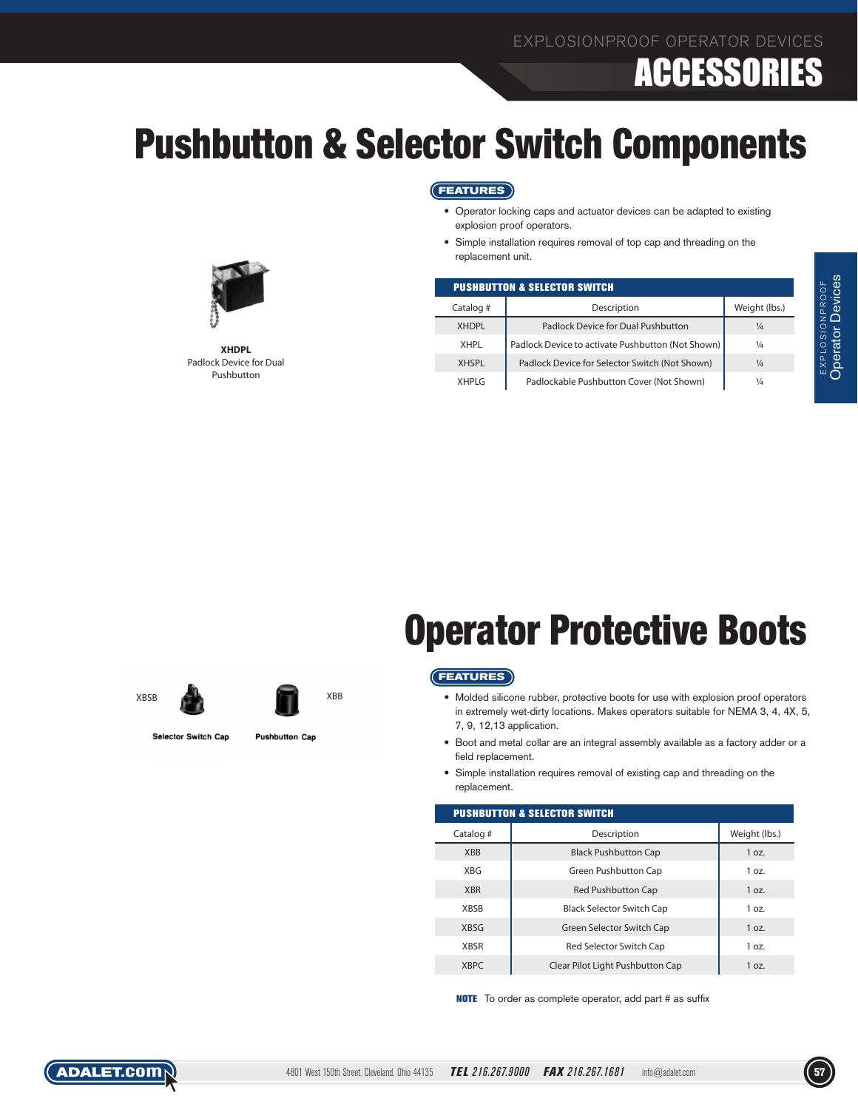## ACCESSORIES

### Pushbutton & Selector Switch Components

#### **FEATURES**

- • Operator locking caps and actuator devices can be adapted to existing explosion proof operators.
- • Simple installation requires removal of top cap and threading on the replacement unit.

| <b>PUSHBUTTON &amp; SELECTOR SWITCH</b> |                                                   |               |  |
|-----------------------------------------|---------------------------------------------------|---------------|--|
| Catalog #                               | Description                                       | Weight (lbs.) |  |
| <b>XHDPL</b>                            | Padlock Device for Dual Pushbutton                | $\frac{1}{4}$ |  |
| XHPI                                    | Padlock Device to activate Pushbutton (Not Shown) | $\frac{1}{4}$ |  |
| <b>XHSPI</b>                            | Padlock Device for Selector Switch (Not Shown)    | $\frac{1}{4}$ |  |
| XHPI G                                  | Padlockable Pushbutton Cover (Not Shown)          | 1⁄4           |  |



**XHDPL** Padlock Device for Dual Pushbutton

## Operator Protective Boots

#### **FEATURES**

- • Molded silicone rubber, protective boots for use with explosion proof operators in extremely wet-dirty locations. Makes operators suitable for NEMA 3, 4, 4X, 5, 7, 9, 12,13 application.
- • Boot and metal collar are an integral assembly available as a factory adder or a field replacement.
- Simple installation requires removal of existing cap and threading on the replacement.

| <b>PUSHBUTTON &amp; SELECTOR SWITCH</b> |                                  |               |  |
|-----------------------------------------|----------------------------------|---------------|--|
| Catalog #                               | Description                      | Weight (lbs.) |  |
| <b>XBB</b>                              | <b>Black Pushbutton Cap</b>      | 1 oz.         |  |
| <b>XBG</b>                              | Green Pushbutton Cap             | 1 oz.         |  |
| <b>XBR</b>                              | <b>Red Pushbutton Cap</b>        | 1 oz.         |  |
| <b>XBSB</b>                             | <b>Black Selector Switch Cap</b> | 1 oz.         |  |
| <b>XBSG</b>                             | Green Selector Switch Cap        | 1 oz.         |  |
| <b>XBSR</b>                             | Red Selector Switch Cap          | 1 oz.         |  |
| <b>XBPC</b>                             | Clear Pilot Light Pushbutton Cap | 1 oz.         |  |

NOTE To order as complete operator, add part # as suffix





XBSB XBB

Selector Switch Cap

**Pushbutton Cap**